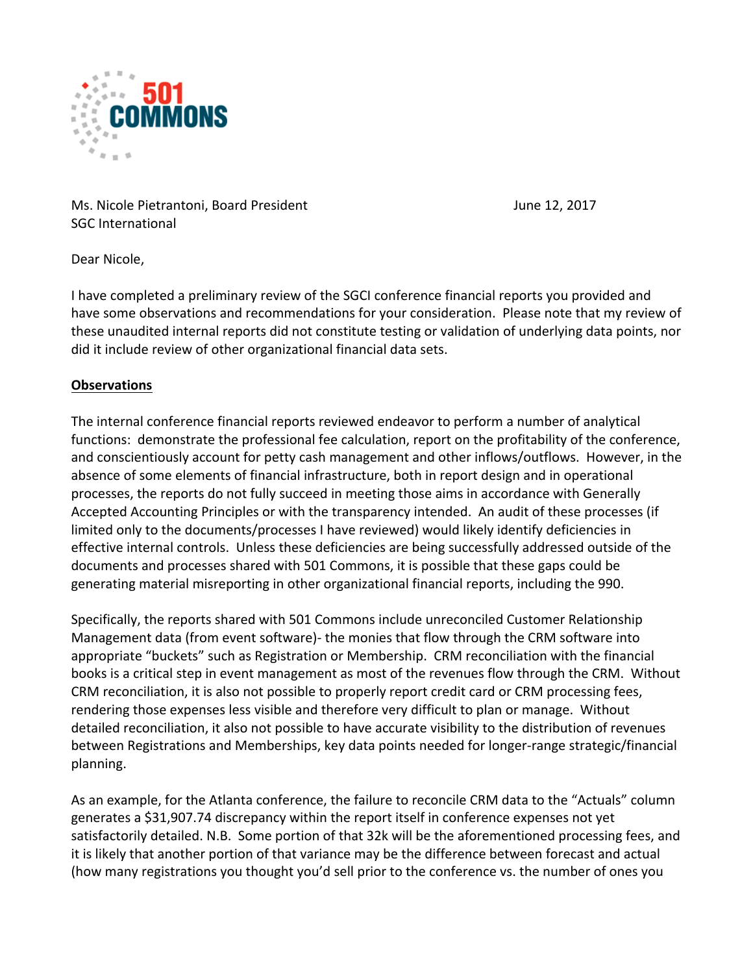

Ms. Nicole Pietrantoni, Board President June 12, 2017 SGC International

Dear Nicole.

I have completed a preliminary review of the SGCI conference financial reports you provided and have some observations and recommendations for your consideration. Please note that my review of these unaudited internal reports did not constitute testing or validation of underlying data points, nor did it include review of other organizational financial data sets.

# **Observations**

The internal conference financial reports reviewed endeavor to perform a number of analytical functions: demonstrate the professional fee calculation, report on the profitability of the conference, and conscientiously account for petty cash management and other inflows/outflows. However, in the absence of some elements of financial infrastructure, both in report design and in operational processes, the reports do not fully succeed in meeting those aims in accordance with Generally Accepted Accounting Principles or with the transparency intended. An audit of these processes (if limited only to the documents/processes I have reviewed) would likely identify deficiencies in effective internal controls. Unless these deficiencies are being successfully addressed outside of the documents and processes shared with 501 Commons, it is possible that these gaps could be generating material misreporting in other organizational financial reports, including the 990.

Specifically, the reports shared with 501 Commons include unreconciled Customer Relationship Management data (from event software)- the monies that flow through the CRM software into appropriate "buckets" such as Registration or Membership. CRM reconciliation with the financial books is a critical step in event management as most of the revenues flow through the CRM. Without CRM reconciliation, it is also not possible to properly report credit card or CRM processing fees, rendering those expenses less visible and therefore very difficult to plan or manage. Without detailed reconciliation, it also not possible to have accurate visibility to the distribution of revenues between Registrations and Memberships, key data points needed for longer-range strategic/financial planning.

As an example, for the Atlanta conference, the failure to reconcile CRM data to the "Actuals" column generates a \$31,907.74 discrepancy within the report itself in conference expenses not yet satisfactorily detailed. N.B. Some portion of that 32k will be the aforementioned processing fees, and it is likely that another portion of that variance may be the difference between forecast and actual (how many registrations you thought you'd sell prior to the conference vs. the number of ones you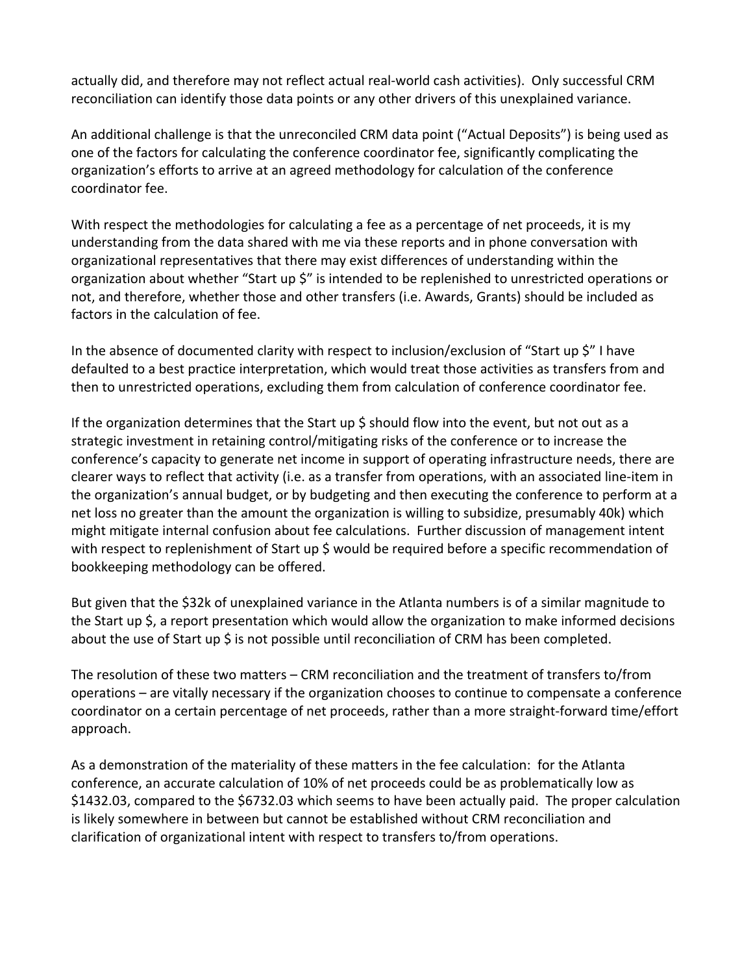actually did, and therefore may not reflect actual real-world cash activities). Only successful CRM reconciliation can identify those data points or any other drivers of this unexplained variance.

An additional challenge is that the unreconciled CRM data point ("Actual Deposits") is being used as one of the factors for calculating the conference coordinator fee, significantly complicating the organization's efforts to arrive at an agreed methodology for calculation of the conference coordinator fee.

With respect the methodologies for calculating a fee as a percentage of net proceeds, it is my understanding from the data shared with me via these reports and in phone conversation with organizational representatives that there may exist differences of understanding within the organization about whether "Start up \$" is intended to be replenished to unrestricted operations or not, and therefore, whether those and other transfers (i.e. Awards, Grants) should be included as factors in the calculation of fee.

In the absence of documented clarity with respect to inclusion/exclusion of "Start up  $\zeta$ " I have defaulted to a best practice interpretation, which would treat those activities as transfers from and then to unrestricted operations, excluding them from calculation of conference coordinator fee.

If the organization determines that the Start up  $\frac{1}{2}$  should flow into the event, but not out as a strategic investment in retaining control/mitigating risks of the conference or to increase the conference's capacity to generate net income in support of operating infrastructure needs, there are clearer ways to reflect that activity (i.e. as a transfer from operations, with an associated line-item in the organization's annual budget, or by budgeting and then executing the conference to perform at a net loss no greater than the amount the organization is willing to subsidize, presumably 40k) which might mitigate internal confusion about fee calculations. Further discussion of management intent with respect to replenishment of Start up  $\frac{1}{2}$  would be required before a specific recommendation of bookkeeping methodology can be offered.

But given that the \$32k of unexplained variance in the Atlanta numbers is of a similar magnitude to the Start up  $\zeta$ , a report presentation which would allow the organization to make informed decisions about the use of Start up  $\frac{1}{2}$  is not possible until reconciliation of CRM has been completed.

The resolution of these two matters – CRM reconciliation and the treatment of transfers to/from operations – are vitally necessary if the organization chooses to continue to compensate a conference coordinator on a certain percentage of net proceeds, rather than a more straight-forward time/effort approach. 

As a demonstration of the materiality of these matters in the fee calculation: for the Atlanta conference, an accurate calculation of 10% of net proceeds could be as problematically low as \$1432.03, compared to the \$6732.03 which seems to have been actually paid. The proper calculation is likely somewhere in between but cannot be established without CRM reconciliation and clarification of organizational intent with respect to transfers to/from operations.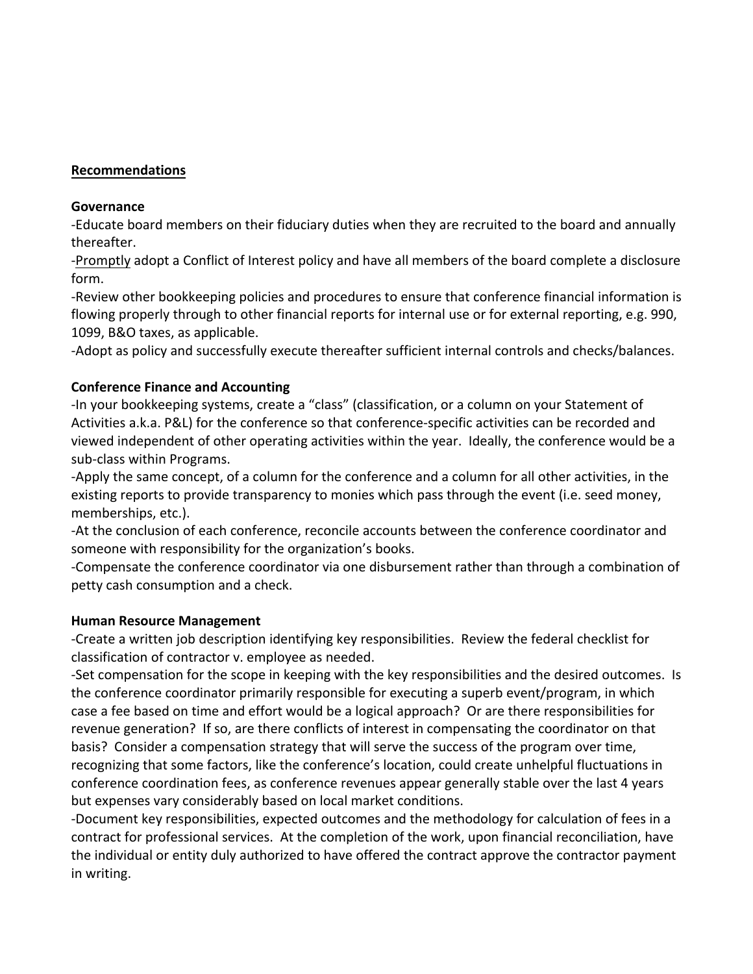## **Recommendations**

#### **Governance**

-Educate board members on their fiduciary duties when they are recruited to the board and annually thereafter.

-Promptly adopt a Conflict of Interest policy and have all members of the board complete a disclosure form.

-Review other bookkeeping policies and procedures to ensure that conference financial information is flowing properly through to other financial reports for internal use or for external reporting, e.g. 990, 1099, B&O taxes, as applicable.

-Adopt as policy and successfully execute thereafter sufficient internal controls and checks/balances.

# **Conference Finance and Accounting**

-In your bookkeeping systems, create a "class" (classification, or a column on your Statement of Activities a.k.a. P&L) for the conference so that conference-specific activities can be recorded and viewed independent of other operating activities within the year. Ideally, the conference would be a sub-class within Programs.

-Apply the same concept, of a column for the conference and a column for all other activities, in the existing reports to provide transparency to monies which pass through the event (i.e. seed money, memberships, etc.).

-At the conclusion of each conference, reconcile accounts between the conference coordinator and someone with responsibility for the organization's books.

-Compensate the conference coordinator via one disbursement rather than through a combination of petty cash consumption and a check.

## **Human Resource Management**

-Create a written job description identifying key responsibilities. Review the federal checklist for classification of contractor v. employee as needed.

-Set compensation for the scope in keeping with the key responsibilities and the desired outcomes. Is the conference coordinator primarily responsible for executing a superb event/program, in which case a fee based on time and effort would be a logical approach? Or are there responsibilities for revenue generation? If so, are there conflicts of interest in compensating the coordinator on that basis? Consider a compensation strategy that will serve the success of the program over time, recognizing that some factors, like the conference's location, could create unhelpful fluctuations in conference coordination fees, as conference revenues appear generally stable over the last 4 years but expenses vary considerably based on local market conditions.

-Document key responsibilities, expected outcomes and the methodology for calculation of fees in a contract for professional services. At the completion of the work, upon financial reconciliation, have the individual or entity duly authorized to have offered the contract approve the contractor payment in writing.